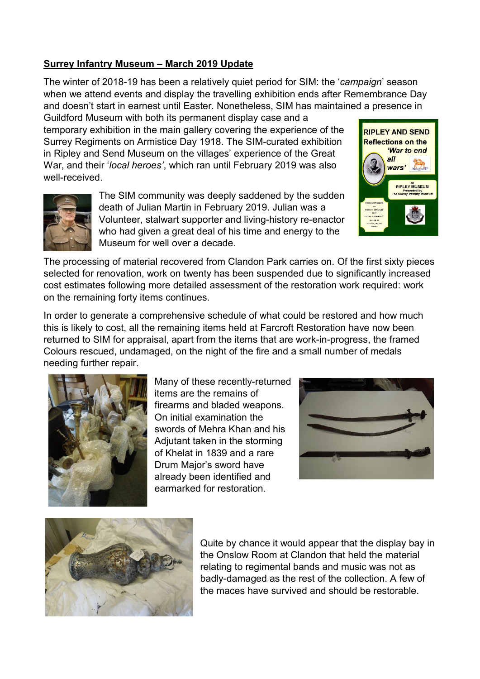## **Surrey Infantry Museum – March 2019 Update**

The winter of 2018-19 has been a relatively quiet period for SIM: the '*campaign*' season when we attend events and display the travelling exhibition ends after Remembrance Day and doesn't start in earnest until Easter. Nonetheless, SIM has maintained a presence in

Guildford Museum with both its permanent display case and a temporary exhibition in the main gallery covering the experience of the Surrey Regiments on Armistice Day 1918. The SIM-curated exhibition in Ripley and Send Museum on the villages' experience of the Great War, and their '*local heroes'*, which ran until February 2019 was also well-received.



The SIM community was deeply saddened by the sudden death of Julian Martin in February 2019. Julian was a Volunteer, stalwart supporter and living-history re-enactor who had given a great deal of his time and energy to the Museum for well over a decade.



The processing of material recovered from Clandon Park carries on. Of the first sixty pieces selected for renovation, work on twenty has been suspended due to significantly increased cost estimates following more detailed assessment of the restoration work required: work on the remaining forty items continues.

In order to generate a comprehensive schedule of what could be restored and how much this is likely to cost, all the remaining items held at Farcroft Restoration have now been returned to SIM for appraisal, apart from the items that are work-in-progress, the framed Colours rescued, undamaged, on the night of the fire and a small number of medals needing further repair.



Many of these recently-returned items are the remains of firearms and bladed weapons. On initial examination the swords of Mehra Khan and his Adjutant taken in the storming of Khelat in 1839 and a rare Drum Major's sword have already been identified and earmarked for restoration.





Quite by chance it would appear that the display bay in the Onslow Room at Clandon that held the material relating to regimental bands and music was not as badly-damaged as the rest of the collection. A few of the maces have survived and should be restorable.